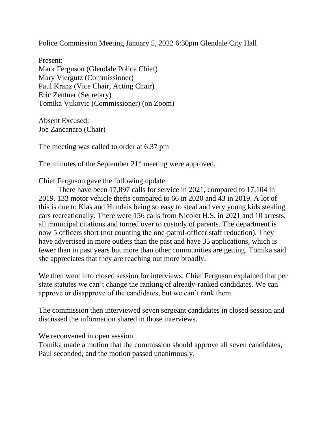Police Commission Meeting January 5, 2022 6:30pm Glendale City Hall

Present: Mark Ferguson (Glendale Police Chief) Mary Viergutz (Commissioner) Paul Kranz (Vice Chair, Acting Chair) Eric Zentner (Secretary) Tomika Vukovic (Commissioner) (on Zoom)

Absent Excused: Joe Zancanaro (Chair)

The meeting was called to order at 6:37 pm

The minutes of the September 21<sup>st</sup> meeting were approved.

Chief Ferguson gave the following update:

There have been 17,897 calls for service in 2021, compared to 17,104 in 2019. 133 motor vehicle thefts compared to 66 in 2020 and 43 in 2019. A lot of this is due to Kias and Hundais being so easy to steal and very young kids stealing cars recreationally. There were 156 calls from Nicolet H.S. in 2021 and 10 arrests, all municipal citations and turned over to custody of parents. The department is now 5 officers short (not counting the one-patrol-officer staff reduction). They have advertised in more outlets than the past and have 35 applications, which is fewer than in past years but more than other communities are getting. Tomika said she appreciates that they are reaching out more broadly.

We then went into closed session for interviews. Chief Ferguson explained that per state statutes we can't change the ranking of already-ranked candidates. We can approve or disapprove of the candidates, but we can't rank them.

The commission then interviewed seven sergeant candidates in closed session and discussed the information shared in those interviews.

We reconvened in open session.

Tomika made a motion that the commission should approve all seven candidates, Paul seconded, and the motion passed unanimously.